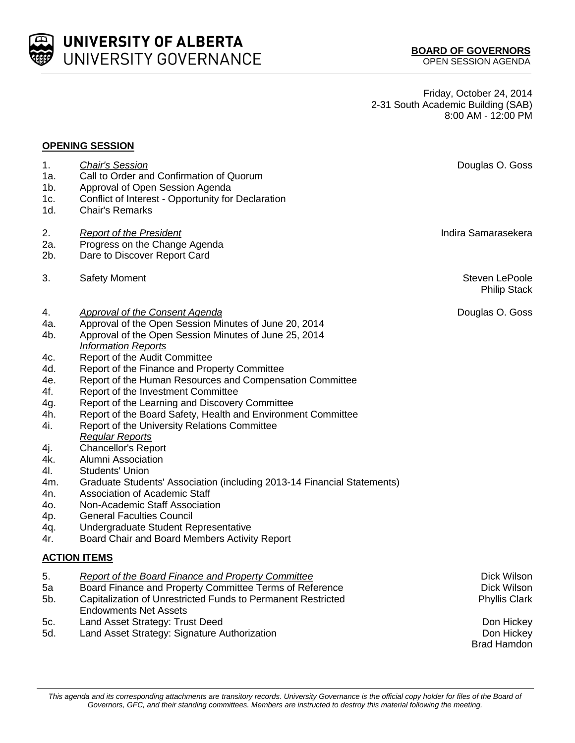UNIVERSITY OF ALBERTA UNIVERSITY GOVERNANCE

Friday, October 24, 2014 2-31 South Academic Building (SAB) 8:00 AM - 12:00 PM

## **OPENING SESSION**

| 1.<br>1a.<br>$1b$ . | <b>Chair's Session</b><br>Call to Order and Confirmation of Quorum<br>Approval of Open Session Agenda                                             | Douglas O. Goss                       |
|---------------------|---------------------------------------------------------------------------------------------------------------------------------------------------|---------------------------------------|
| 1c.<br>1d.          | Conflict of Interest - Opportunity for Declaration<br><b>Chair's Remarks</b>                                                                      |                                       |
| 2.<br>2a.           | <b>Report of the President</b><br>Progress on the Change Agenda                                                                                   | Indira Samarasekera                   |
| 2b.                 | Dare to Discover Report Card                                                                                                                      |                                       |
| 3.                  | <b>Safety Moment</b>                                                                                                                              | Steven LePoole<br><b>Philip Stack</b> |
| 4.                  | Approval of the Consent Agenda                                                                                                                    | Douglas O. Goss                       |
| 4a.                 | Approval of the Open Session Minutes of June 20, 2014                                                                                             |                                       |
| 4b.                 | Approval of the Open Session Minutes of June 25, 2014                                                                                             |                                       |
|                     | <b>Information Reports</b>                                                                                                                        |                                       |
| 4c.                 | Report of the Audit Committee                                                                                                                     |                                       |
| 4d.                 | Report of the Finance and Property Committee                                                                                                      |                                       |
| 4e.                 | Report of the Human Resources and Compensation Committee                                                                                          |                                       |
| 4f.                 | Report of the Investment Committee                                                                                                                |                                       |
| 4g.                 | Report of the Learning and Discovery Committee                                                                                                    |                                       |
| 4h.                 | Report of the Board Safety, Health and Environment Committee                                                                                      |                                       |
| 4i.                 | <b>Report of the University Relations Committee</b><br><b>Regular Reports</b>                                                                     |                                       |
|                     | <b>Chancellor's Report</b>                                                                                                                        |                                       |
| 4j.<br>4k.          | Alumni Association                                                                                                                                |                                       |
| 41.                 | <b>Students' Union</b>                                                                                                                            |                                       |
| 4m.                 | Graduate Students' Association (including 2013-14 Financial Statements)                                                                           |                                       |
| 4n.                 | <b>Association of Academic Staff</b>                                                                                                              |                                       |
| 40.                 | Non-Academic Staff Association                                                                                                                    |                                       |
| 4p.                 | <b>General Faculties Council</b>                                                                                                                  |                                       |
| 4q.                 | Undergraduate Student Representative                                                                                                              |                                       |
| 4r.                 | Board Chair and Board Members Activity Report                                                                                                     |                                       |
|                     | <b>ACTION ITEMS</b>                                                                                                                               |                                       |
| 5.                  | Report of the Board Finance and Property Committee                                                                                                | Dick Wilson                           |
| 5a                  | Board Finance and Property Committee Terms of Reference                                                                                           | Dick Wilson                           |
| 5b.                 | Capitalization of Unrestricted Funds to Permanent Restricted                                                                                      | <b>Phyllis Clark</b>                  |
|                     | <b>Endowments Net Assets</b>                                                                                                                      |                                       |
| 5c.                 | Land Asset Strategy: Trust Deed                                                                                                                   | Don Hickey                            |
| 5d.                 | Land Asset Strategy: Signature Authorization                                                                                                      | Don Hickey                            |
|                     |                                                                                                                                                   | <b>Brad Hamdon</b>                    |
|                     | This agenda and its corresponding attachments are transitory records. University Governance is the official copy holder for files of the Board of |                                       |

*Governors, GFC, and their standing committees. Members are instructed to destroy this material following the meeting.*